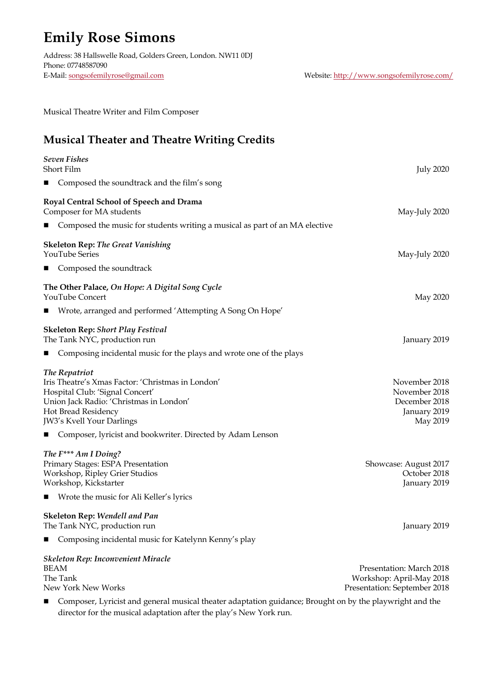# **Emily Rose Simons**

Address: 38 Hallswelle Road, Golders Green, London. NW11 0DJ Phone: 07748587090 E-Mail: songsofemilyrose@gmail.com Website: http://www.songsofemilyrose.com/

Musical Theatre Writer and Film Composer

# **Musical Theater and Theatre Writing Credits**

| <b>Seven Fishes</b><br>Short Film                                                                                                                                                                                                                                    | <b>July 2020</b>                                                                     |
|----------------------------------------------------------------------------------------------------------------------------------------------------------------------------------------------------------------------------------------------------------------------|--------------------------------------------------------------------------------------|
| ■ Composed the soundtrack and the film's song                                                                                                                                                                                                                        |                                                                                      |
| Royal Central School of Speech and Drama<br>Composer for MA students                                                                                                                                                                                                 | May-July 2020                                                                        |
| ■ Composed the music for students writing a musical as part of an MA elective                                                                                                                                                                                        |                                                                                      |
| <b>Skeleton Rep:</b> The Great Vanishing<br>YouTube Series                                                                                                                                                                                                           | May-July 2020                                                                        |
| ■ Composed the soundtrack                                                                                                                                                                                                                                            |                                                                                      |
| The Other Palace, On Hope: A Digital Song Cycle<br>YouTube Concert                                                                                                                                                                                                   | May 2020                                                                             |
| ■ Wrote, arranged and performed 'Attempting A Song On Hope'                                                                                                                                                                                                          |                                                                                      |
| <b>Skeleton Rep: Short Play Festival</b><br>The Tank NYC, production run                                                                                                                                                                                             | January 2019                                                                         |
| ■ Composing incidental music for the plays and wrote one of the plays                                                                                                                                                                                                |                                                                                      |
| The Repatriot<br>Iris Theatre's Xmas Factor: 'Christmas in London'<br>Hospital Club: 'Signal Concert'<br>Union Jack Radio: 'Christmas in London'<br>Hot Bread Residency<br>JW3's Kvell Your Darlings<br>■ Composer, lyricist and bookwriter. Directed by Adam Lenson | November 2018<br>November 2018<br>December 2018<br>January 2019<br>May 2019          |
| The F*** Am I Doing?<br>Primary Stages: ESPA Presentation<br>Workshop, Ripley Grier Studios<br>Workshop, Kickstarter<br>■ Wrote the music for Ali Keller's lyrics                                                                                                    | Showcase: August 2017<br>October 2018<br>January 2019                                |
| <b>Skeleton Rep: Wendell and Pan</b><br>The Tank NYC, production run                                                                                                                                                                                                 | January 2019                                                                         |
| Composing incidental music for Katelynn Kenny's play<br>ш                                                                                                                                                                                                            |                                                                                      |
| Skeleton Rep: Inconvenient Miracle<br>BEAM<br>The Tank<br>New York New Works                                                                                                                                                                                         | Presentation: March 2018<br>Workshop: April-May 2018<br>Presentation: September 2018 |

n Composer, Lyricist and general musical theater adaptation guidance; Brought on by the playwright and the director for the musical adaptation after the play's New York run.